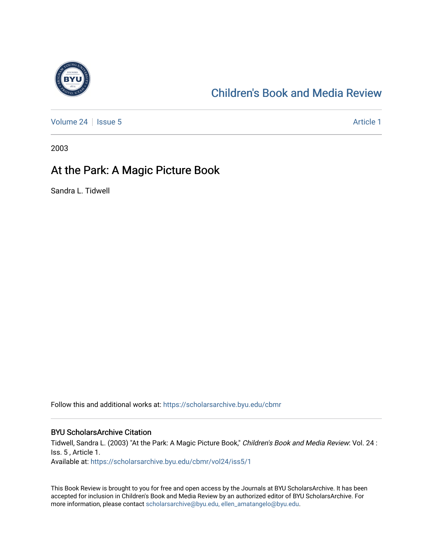

## [Children's Book and Media Review](https://scholarsarchive.byu.edu/cbmr)

[Volume 24](https://scholarsarchive.byu.edu/cbmr/vol24) | [Issue 5](https://scholarsarchive.byu.edu/cbmr/vol24/iss5) Article 1

2003

## At the Park: A Magic Picture Book

Sandra L. Tidwell

Follow this and additional works at: [https://scholarsarchive.byu.edu/cbmr](https://scholarsarchive.byu.edu/cbmr?utm_source=scholarsarchive.byu.edu%2Fcbmr%2Fvol24%2Fiss5%2F1&utm_medium=PDF&utm_campaign=PDFCoverPages) 

## BYU ScholarsArchive Citation

Tidwell, Sandra L. (2003) "At the Park: A Magic Picture Book," Children's Book and Media Review: Vol. 24 : Iss. 5 , Article 1. Available at: [https://scholarsarchive.byu.edu/cbmr/vol24/iss5/1](https://scholarsarchive.byu.edu/cbmr/vol24/iss5/1?utm_source=scholarsarchive.byu.edu%2Fcbmr%2Fvol24%2Fiss5%2F1&utm_medium=PDF&utm_campaign=PDFCoverPages) 

This Book Review is brought to you for free and open access by the Journals at BYU ScholarsArchive. It has been accepted for inclusion in Children's Book and Media Review by an authorized editor of BYU ScholarsArchive. For more information, please contact [scholarsarchive@byu.edu, ellen\\_amatangelo@byu.edu.](mailto:scholarsarchive@byu.edu,%20ellen_amatangelo@byu.edu)